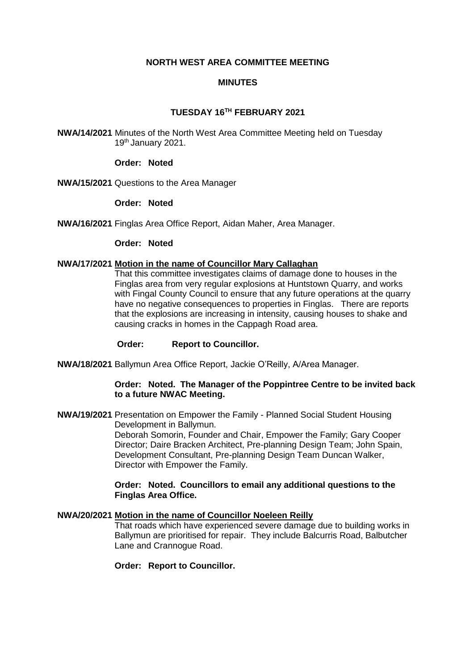# **NORTH WEST AREA COMMITTEE MEETING**

# **MINUTES**

# **TUESDAY 16TH FEBRUARY 2021**

**NWA/14/2021** Minutes of the North West Area Committee Meeting held on Tuesday 19th January 2021.

#### **Order: Noted**

**NWA/15/2021** Questions to the Area Manager

#### **Order: Noted**

**NWA/16/2021** Finglas Area Office Report, Aidan Maher, Area Manager.

#### **Order: Noted**

#### **NWA/17/2021 Motion in the name of Councillor Mary Callaghan**

That this committee investigates claims of damage done to houses in the Finglas area from very regular explosions at Huntstown Quarry, and works with Fingal County Council to ensure that any future operations at the quarry have no negative consequences to properties in Finglas. There are reports that the explosions are increasing in intensity, causing houses to shake and causing cracks in homes in the Cappagh Road area.

## **Order: Report to Councillor.**

**NWA/18/2021** Ballymun Area Office Report, Jackie O'Reilly, A/Area Manager.

## **Order: Noted. The Manager of the Poppintree Centre to be invited back to a future NWAC Meeting.**

**NWA/19/2021** Presentation on Empower the Family - Planned Social Student Housing Development in Ballymun.

> Deborah Somorin, Founder and Chair, Empower the Family; Gary Cooper Director; Daire Bracken Architect, Pre-planning Design Team; John Spain, Development Consultant, Pre-planning Design Team Duncan Walker, Director with Empower the Family.

# **Order: Noted. Councillors to email any additional questions to the Finglas Area Office.**

## **NWA/20/2021 Motion in the name of Councillor Noeleen Reilly**

That roads which have experienced severe damage due to building works in Ballymun are prioritised for repair. They include Balcurris Road, Balbutcher Lane and Crannogue Road.

## **Order: Report to Councillor.**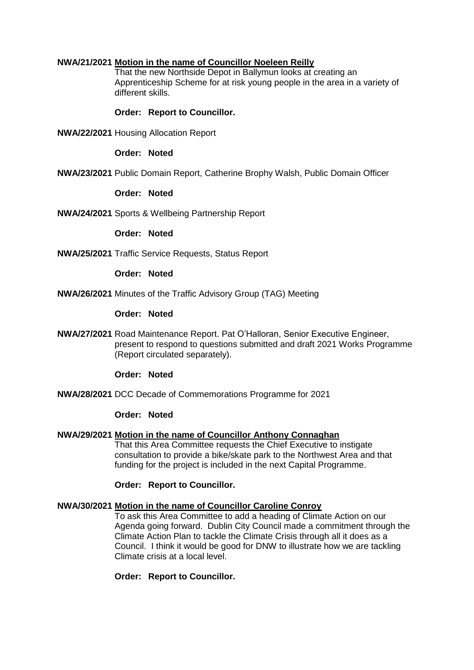# **NWA/21/2021 Motion in the name of Councillor Noeleen Reilly**

That the new Northside Depot in Ballymun looks at creating an Apprenticeship Scheme for at risk young people in the area in a variety of different skills.

### **Order: Report to Councillor.**

**NWA/22/2021** Housing Allocation Report

# **Order: Noted**

**NWA/23/2021** Public Domain Report, Catherine Brophy Walsh, Public Domain Officer

### **Order: Noted**

**NWA/24/2021** Sports & Wellbeing Partnership Report

**Order: Noted**

**NWA/25/2021** Traffic Service Requests, Status Report

### **Order: Noted**

**NWA/26/2021** Minutes of the Traffic Advisory Group (TAG) Meeting

#### **Order: Noted**

**NWA/27/2021** Road Maintenance Report. Pat O'Halloran, Senior Executive Engineer, present to respond to questions submitted and draft 2021 Works Programme (Report circulated separately).

### **Order: Noted**

**NWA/28/2021** DCC Decade of Commemorations Programme for 2021

# **Order: Noted**

# **NWA/29/2021 Motion in the name of Councillor Anthony Connaghan**

That this Area Committee requests the Chief Executive to instigate consultation to provide a bike/skate park to the Northwest Area and that funding for the project is included in the next Capital Programme.

## **Order: Report to Councillor.**

## **NWA/30/2021 Motion in the name of Councillor Caroline Conroy**

To ask this Area Committee to add a heading of Climate Action on our Agenda going forward. Dublin City Council made a commitment through the Climate Action Plan to tackle the Climate Crisis through all it does as a Council. I think it would be good for DNW to illustrate how we are tackling Climate crisis at a local level.

#### **Order: Report to Councillor.**